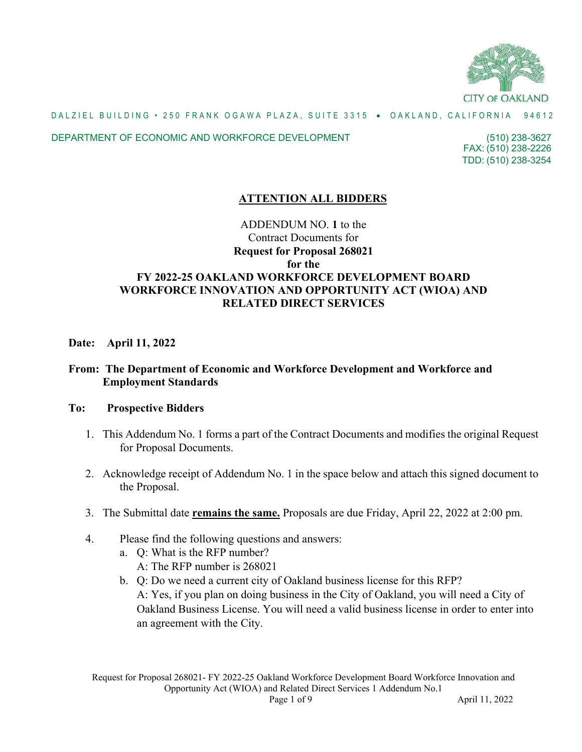

### DEPARTMENT OF ECONOMIC AND WORKFORCE DEVELOPMENT

FAX: (510) 238-2226 (510) 238-3627 TDD: (510) 238-3254

# **ATTENTION ALL BIDDERS**

# ADDENDUM NO. **1** to the Contract Documents for **Request for Proposal 268021 for the FY 2022-25 OAKLAND WORKFORCE DEVELOPMENT BOARD WORKFORCE INNOVATION AND OPPORTUNITY ACT (WIOA) AND RELATED DIRECT SERVICES**

## **Date: April 11, 2022**

# **From: The Department of Economic and Workforce Development and Workforce and Employment Standards**

## **To: Prospective Bidders**

- 1. This Addendum No. 1 forms a part of the Contract Documents and modifies the original Request for Proposal Documents.
- 2. Acknowledge receipt of Addendum No. 1 in the space below and attach this signed document to the Proposal.
- 3. The Submittal date **remains the same.** Proposals are due Friday, April 22, 2022 at 2:00 pm.
- 4. Please find the following questions and answers:
	- a. Q: What is the RFP number?
		- A: The RFP number is 268021
	- b. Q: Do we need a current city of Oakland business license for this RFP? A: Yes, if you plan on doing business in the City of Oakland, you will need a City of Oakland Business License. You will need a valid business license in order to enter into an agreement with the City.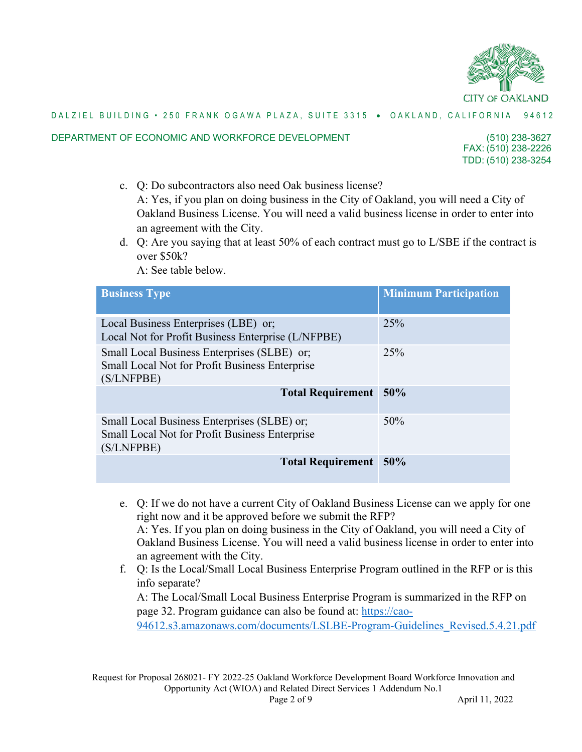

#### DEPARTMENT OF ECONOMIC AND WORKFORCE DEVELOPMENT

FAX: (510) 238-2226 (510) 238-3627 TDD: (510) 238-3254

- c. Q: Do subcontractors also need Oak business license? A: Yes, if you plan on doing business in the City of Oakland, you will need a City of Oakland Business License. You will need a valid business license in order to enter into an agreement with the City.
- d. Q: Are you saying that at least 50% of each contract must go to L/SBE if the contract is over \$50k?

A: See table below.

| <b>Business Type</b>                                                                                        | <b>Minimum Participation</b> |
|-------------------------------------------------------------------------------------------------------------|------------------------------|
| Local Business Enterprises (LBE) or;<br>Local Not for Profit Business Enterprise (L/NFPBE)                  | 25%                          |
| Small Local Business Enterprises (SLBE) or;<br>Small Local Not for Profit Business Enterprise<br>(S/LNFPBE) | 25%                          |
| <b>Total Requirement</b>                                                                                    | 50%                          |
| Small Local Business Enterprises (SLBE) or;<br>Small Local Not for Profit Business Enterprise<br>(S/LNFPBE) | 50%                          |
| <b>Total Requirement</b>                                                                                    | 50%                          |

- e. Q: If we do not have a current City of Oakland Business License can we apply for one right now and it be approved before we submit the RFP? A: Yes. If you plan on doing business in the City of Oakland, you will need a City of Oakland Business License. You will need a valid business license in order to enter into an agreement with the City.
- f. Q: Is the Local/Small Local Business Enterprise Program outlined in the RFP or is this info separate?

A: The Local/Small Local Business Enterprise Program is summarized in the RFP on page 32. Program guidance can also be found at: [https://cao-](https://cao-94612.s3.amazonaws.com/documents/LSLBE-Program-Guidelines_Revised.5.4.21.pdf)

[94612.s3.amazonaws.com/documents/LSLBE-Program-Guidelines\\_Revised.5.4.21.pdf](https://cao-94612.s3.amazonaws.com/documents/LSLBE-Program-Guidelines_Revised.5.4.21.pdf)

Request for Proposal 268021- FY 2022-25 Oakland Workforce Development Board Workforce Innovation and Opportunity Act (WIOA) and Related Direct Services 1 Addendum No.1 Page 2 of 9 April 11, 2022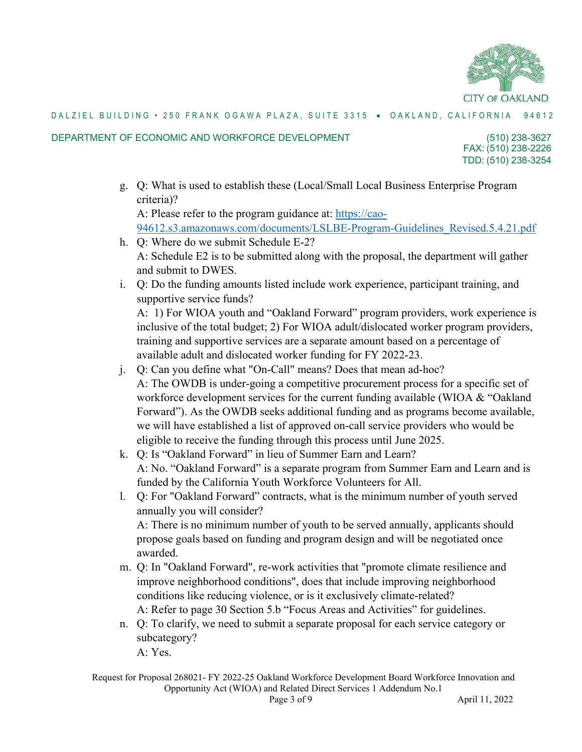

### DEPARTMENT OF ECONOMIC AND WORKFORCE DEVELOPMENT

FAX: (510) 238-2226 (510) 238-3627 TDD: (510) 238-3254

g. Q: What is used to establish these (Local/Small Local Business Enterprise Program criteria)?

A: Please refer to the program guidance at: [https://cao-](https://cao-94612.s3.amazonaws.com/documents/LSLBE-Program-Guidelines_Revised.5.4.21.pdf)[94612.s3.amazonaws.com/documents/LSLBE-Program-Guidelines\\_Revised.5.4.21.pdf](https://cao-94612.s3.amazonaws.com/documents/LSLBE-Program-Guidelines_Revised.5.4.21.pdf)

- h. Q: Where do we submit Schedule E-2? A: Schedule E2 is to be submitted along with the proposal, the department will gather and submit to DWES.
- i. Q: Do the funding amounts listed include work experience, participant training, and supportive service funds? A: 1) For WIOA youth and "Oakland Forward" program providers, work experience is

inclusive of the total budget; 2) For WIOA adult/dislocated worker program providers, training and supportive services are a separate amount based on a percentage of available adult and dislocated worker funding for FY 2022-23.

- j. Q: Can you define what "On-Call" means? Does that mean ad-hoc? A: The OWDB is under-going a competitive procurement process for a specific set of workforce development services for the current funding available (WIOA & "Oakland") Forward"). As the OWDB seeks additional funding and as programs become available, we will have established a list of approved on-call service providers who would be eligible to receive the funding through this process until June 2025.
- k. Q: Is "Oakland Forward" in lieu of Summer Earn and Learn? A: No. "Oakland Forward" is a separate program from Summer Earn and Learn and is funded by the California Youth Workforce Volunteers for All.
- l. Q: For "Oakland Forward" contracts, what is the minimum number of youth served annually you will consider? A: There is no minimum number of youth to be served annually, applicants should propose goals based on funding and program design and will be negotiated once awarded.
- m. Q: In "Oakland Forward", re-work activities that "promote climate resilience and improve neighborhood conditions", does that include improving neighborhood conditions like reducing violence, or is it exclusively climate-related? A: Refer to page 30 Section 5.b "Focus Areas and Activities" for guidelines.
- n. Q: To clarify, we need to submit a separate proposal for each service category or subcategory? A: Yes.

Request for Proposal 268021- FY 2022-25 Oakland Workforce Development Board Workforce Innovation and Opportunity Act (WIOA) and Related Direct Services 1 Addendum No.1 Page 3 of 9 April 11, 2022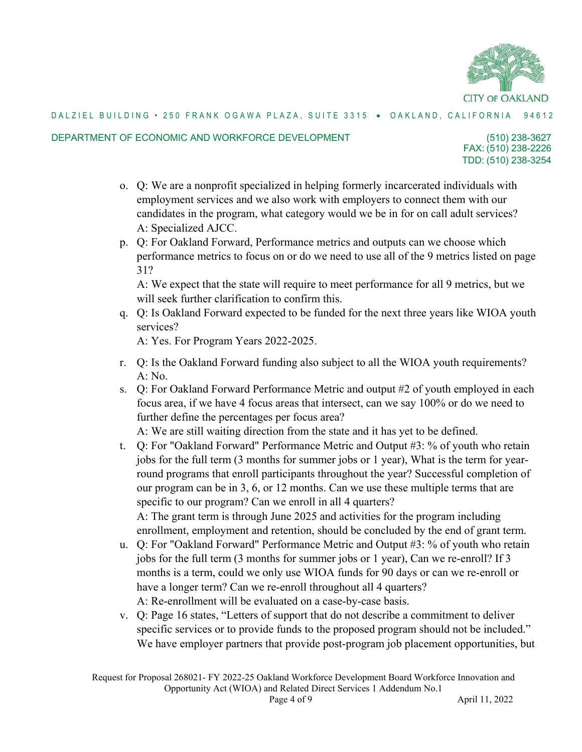

#### DEPARTMENT OF ECONOMIC AND WORKFORCE DEVELOPMENT

FAX: (510) 238-2226 (510) 238-3627 TDD: (510) 238-3254

- o. Q: We are a nonprofit specialized in helping formerly incarcerated individuals with employment services and we also work with employers to connect them with our candidates in the program, what category would we be in for on call adult services? A: Specialized AJCC.
- p. Q: For Oakland Forward, Performance metrics and outputs can we choose which performance metrics to focus on or do we need to use all of the 9 metrics listed on page 31?

A: We expect that the state will require to meet performance for all 9 metrics, but we will seek further clarification to confirm this.

q. Q: Is Oakland Forward expected to be funded for the next three years like WIOA youth services?

A: Yes. For Program Years 2022-2025.

- r. Q: Is the Oakland Forward funding also subject to all the WIOA youth requirements? A: No.
- s. Q: For Oakland Forward Performance Metric and output #2 of youth employed in each focus area, if we have 4 focus areas that intersect, can we say 100% or do we need to further define the percentages per focus area?

A: We are still waiting direction from the state and it has yet to be defined.

- t. Q: For "Oakland Forward" Performance Metric and Output #3: % of youth who retain jobs for the full term (3 months for summer jobs or 1 year), What is the term for yearround programs that enroll participants throughout the year? Successful completion of our program can be in 3, 6, or 12 months. Can we use these multiple terms that are specific to our program? Can we enroll in all 4 quarters? A: The grant term is through June 2025 and activities for the program including enrollment, employment and retention, should be concluded by the end of grant term.
- u. Q: For "Oakland Forward" Performance Metric and Output #3: % of youth who retain jobs for the full term (3 months for summer jobs or 1 year), Can we re-enroll? If 3 months is a term, could we only use WIOA funds for 90 days or can we re-enroll or have a longer term? Can we re-enroll throughout all 4 quarters? A: Re-enrollment will be evaluated on a case-by-case basis.
- v. Q: Page 16 states, "Letters of support that do not describe a commitment to deliver specific services or to provide funds to the proposed program should not be included." We have employer partners that provide post-program job placement opportunities, but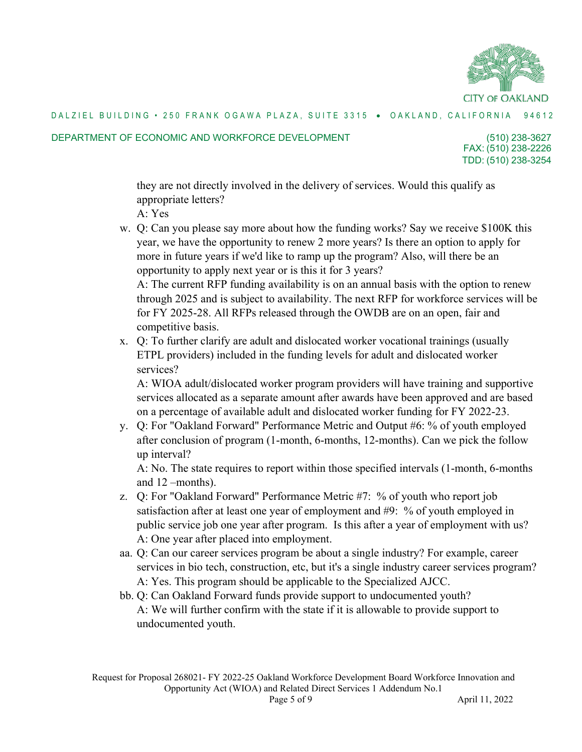

#### DEPARTMENT OF ECONOMIC AND WORKFORCE DEVELOPMENT

FAX: (510) 238-2226 (510) 238-3627 TDD: (510) 238-3254

they are not directly involved in the delivery of services. Would this qualify as appropriate letters?

- A: Yes
- w. Q: Can you please say more about how the funding works? Say we receive \$100K this year, we have the opportunity to renew 2 more years? Is there an option to apply for more in future years if we'd like to ramp up the program? Also, will there be an opportunity to apply next year or is this it for 3 years?

A: The current RFP funding availability is on an annual basis with the option to renew through 2025 and is subject to availability. The next RFP for workforce services will be for FY 2025-28. All RFPs released through the OWDB are on an open, fair and competitive basis.

x. Q: To further clarify are adult and dislocated worker vocational trainings (usually ETPL providers) included in the funding levels for adult and dislocated worker services?

A: WIOA adult/dislocated worker program providers will have training and supportive services allocated as a separate amount after awards have been approved and are based on a percentage of available adult and dislocated worker funding for FY 2022-23.

y. Q: For "Oakland Forward" Performance Metric and Output #6: % of youth employed after conclusion of program (1-month, 6-months, 12-months). Can we pick the follow up interval?

A: No. The state requires to report within those specified intervals (1-month, 6-months and 12 –months).

- z. Q: For "Oakland Forward" Performance Metric #7: % of youth who report job satisfaction after at least one year of employment and #9: % of youth employed in public service job one year after program. Is this after a year of employment with us? A: One year after placed into employment.
- aa. Q: Can our career services program be about a single industry? For example, career services in bio tech, construction, etc, but it's a single industry career services program? A: Yes. This program should be applicable to the Specialized AJCC.
- bb. Q: Can Oakland Forward funds provide support to undocumented youth? A: We will further confirm with the state if it is allowable to provide support to undocumented youth.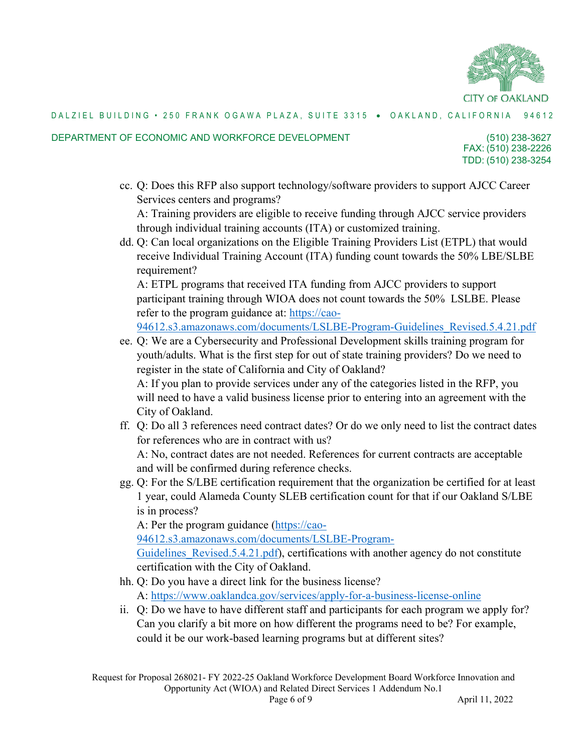

#### DEPARTMENT OF ECONOMIC AND WORKFORCE DEVELOPMENT

FAX: (510) 238-2226 (510) 238-3627 TDD: (510) 238-3254

cc. Q: Does this RFP also support technology/software providers to support AJCC Career Services centers and programs?

A: Training providers are eligible to receive funding through AJCC service providers through individual training accounts (ITA) or customized training.

dd. Q: Can local organizations on the Eligible Training Providers List (ETPL) that would receive Individual Training Account (ITA) funding count towards the 50% LBE/SLBE requirement?

A: ETPL programs that received ITA funding from AJCC providers to support participant training through WIOA does not count towards the 50% LSLBE. Please refer to the program guidance at: [https://cao-](https://cao-94612.s3.amazonaws.com/documents/LSLBE-Program-Guidelines_Revised.5.4.21.pdf)

[94612.s3.amazonaws.com/documents/LSLBE-Program-Guidelines\\_Revised.5.4.21.pdf](https://cao-94612.s3.amazonaws.com/documents/LSLBE-Program-Guidelines_Revised.5.4.21.pdf)

ee. Q: We are a Cybersecurity and Professional Development skills training program for youth/adults. What is the first step for out of state training providers? Do we need to register in the state of California and City of Oakland?

A: If you plan to provide services under any of the categories listed in the RFP, you will need to have a valid business license prior to entering into an agreement with the City of Oakland.

ff. Q: Do all 3 references need contract dates? Or do we only need to list the contract dates for references who are in contract with us?

A: No, contract dates are not needed. References for current contracts are acceptable and will be confirmed during reference checks.

gg. Q: For the S/LBE certification requirement that the organization be certified for at least 1 year, could Alameda County SLEB certification count for that if our Oakland S/LBE is in process?

A: Per the program guidance [\(https://cao-](https://cao-94612.s3.amazonaws.com/documents/LSLBE-Program-Guidelines_Revised.5.4.21.pdf)

[94612.s3.amazonaws.com/documents/LSLBE-Program-](https://cao-94612.s3.amazonaws.com/documents/LSLBE-Program-Guidelines_Revised.5.4.21.pdf)

Guidelines Revised.5.4.21.pdf), certifications with another agency do not constitute certification with the City of Oakland.

hh. Q: Do you have a direct link for the business license?

A:<https://www.oaklandca.gov/services/apply-for-a-business-license-online>

ii. Q: Do we have to have different staff and participants for each program we apply for? Can you clarify a bit more on how different the programs need to be? For example, could it be our work-based learning programs but at different sites?

Request for Proposal 268021- FY 2022-25 Oakland Workforce Development Board Workforce Innovation and Opportunity Act (WIOA) and Related Direct Services 1 Addendum No.1 Page 6 of 9 April 11, 2022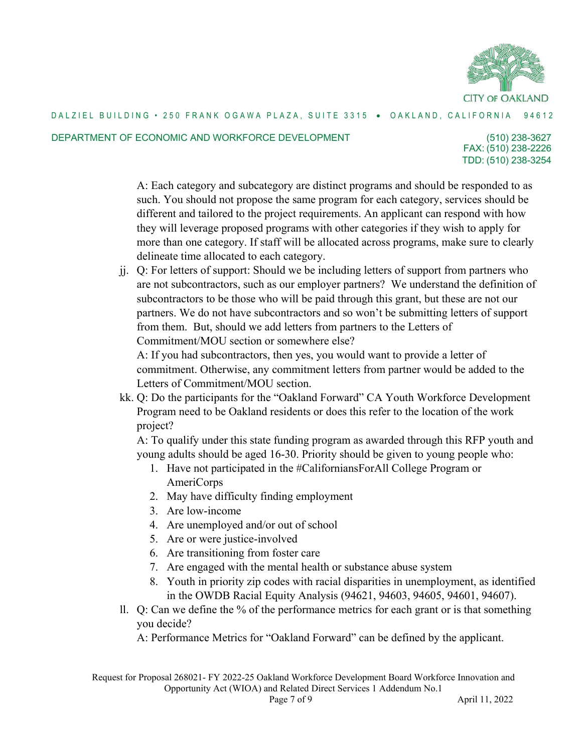

#### DEPARTMENT OF ECONOMIC AND WORKFORCE DEVELOPMENT

FAX: (510) 238-2226 (510) 238-3627 TDD: (510) 238-3254

A: Each category and subcategory are distinct programs and should be responded to as such. You should not propose the same program for each category, services should be different and tailored to the project requirements. An applicant can respond with how they will leverage proposed programs with other categories if they wish to apply for more than one category. If staff will be allocated across programs, make sure to clearly delineate time allocated to each category.

jj. Q: For letters of support: Should we be including letters of support from partners who are not subcontractors, such as our employer partners? We understand the definition of subcontractors to be those who will be paid through this grant, but these are not our partners. We do not have subcontractors and so won't be submitting letters of support from them. But, should we add letters from partners to the Letters of Commitment/MOU section or somewhere else?

A: If you had subcontractors, then yes, you would want to provide a letter of commitment. Otherwise, any commitment letters from partner would be added to the Letters of Commitment/MOU section.

kk. Q: Do the participants for the "Oakland Forward" CA Youth Workforce Development Program need to be Oakland residents or does this refer to the location of the work project?

A: To qualify under this state funding program as awarded through this RFP youth and young adults should be aged 16-30. Priority should be given to young people who:

- 1. Have not participated in the #CaliforniansForAll College Program or AmeriCorps
- 2. May have difficulty finding employment
- 3. Are low-income
- 4. Are unemployed and/or out of school
- 5. Are or were justice-involved
- 6. Are transitioning from foster care
- 7. Are engaged with the mental health or substance abuse system
- 8. Youth in priority zip codes with racial disparities in unemployment, as identified in the OWDB Racial Equity Analysis (94621, 94603, 94605, 94601, 94607).
- ll. Q: Can we define the % of the performance metrics for each grant or is that something you decide?

A: Performance Metrics for "Oakland Forward" can be defined by the applicant.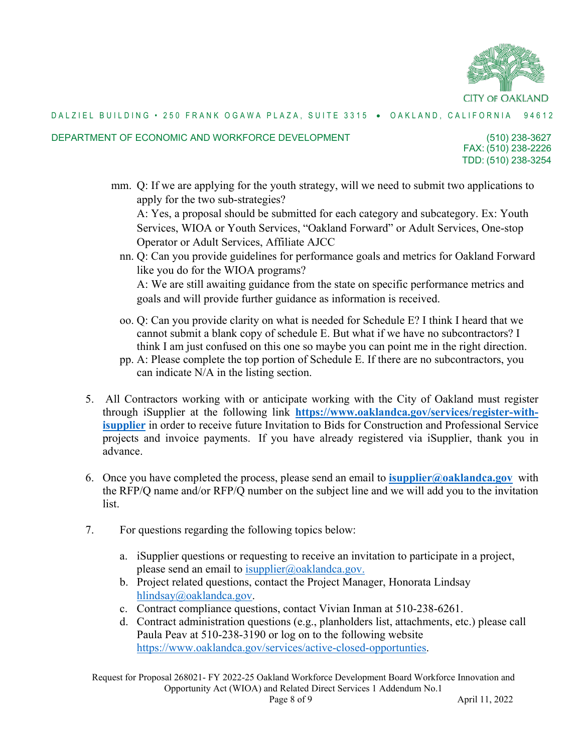

#### DEPARTMENT OF ECONOMIC AND WORKFORCE DEVELOPMENT

FAX: (510) 238-2226 (510) 238-3627 TDD: (510) 238-3254

mm. Q: If we are applying for the youth strategy, will we need to submit two applications to apply for the two sub-strategies?

A: Yes, a proposal should be submitted for each category and subcategory. Ex: Youth Services, WIOA or Youth Services, "Oakland Forward" or Adult Services, One-stop Operator or Adult Services, Affiliate AJCC

- nn. Q: Can you provide guidelines for performance goals and metrics for Oakland Forward like you do for the WIOA programs? A: We are still awaiting guidance from the state on specific performance metrics and goals and will provide further guidance as information is received.
- oo. Q: Can you provide clarity on what is needed for Schedule E? I think I heard that we cannot submit a blank copy of schedule E. But what if we have no subcontractors? I think I am just confused on this one so maybe you can point me in the right direction.
- pp. A: Please complete the top portion of Schedule E. If there are no subcontractors, you can indicate N/A in the listing section.
- 5. All Contractors working with or anticipate working with the City of Oakland must register through iSupplier at the following link **[https://www.oaklandca.gov/services/register-with](https://www.oaklandca.gov/services/register-with-isupplier)[isupplier](https://www.oaklandca.gov/services/register-with-isupplier)** in order to receive future Invitation to Bids for Construction and Professional Service projects and invoice payments. If you have already registered via iSupplier, thank you in advance.
- 6. Once you have completed the process, please send an email to **[isupplier@oaklandca.gov](mailto:isupplier@oaklandca.gov)** with the RFP/Q name and/or RFP/Q number on the subject line and we will add you to the invitation list.
- 7. For questions regarding the following topics below:
	- a. iSupplier questions or requesting to receive an invitation to participate in a project, please send an email to [isupplier@oaklandca.gov.](mailto:isupplier@oaklandca.gov.)
	- b. Project related questions, contact the Project Manager, Honorata Lindsay [hlindsay@oaklandca.gov.](mailto:hlindsay@oaklandca.gov)
	- c. Contract compliance questions, contact Vivian Inman at 510-238-6261.
	- d. Contract administration questions (e.g., planholders list, attachments, etc.) please call Paula Peav at 510-238-3190 or log on to the following website [https://www.oaklandca.gov/services/active-closed-opportunties.](https://www.oaklandca.gov/services/active-closed-opportunties)

Request for Proposal 268021- FY 2022-25 Oakland Workforce Development Board Workforce Innovation and Opportunity Act (WIOA) and Related Direct Services 1 Addendum No.1 Page 8 of 9 April 11, 2022